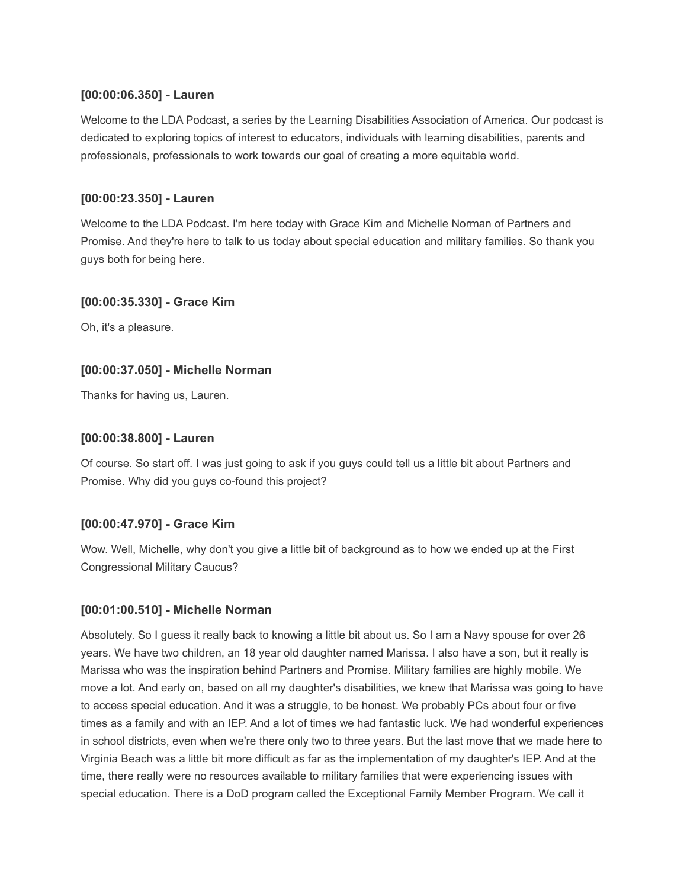## **[00:00:06.350] - Lauren**

Welcome to the LDA Podcast, a series by the Learning Disabilities Association of America. Our podcast is dedicated to exploring topics of interest to educators, individuals with learning disabilities, parents and professionals, professionals to work towards our goal of creating a more equitable world.

# **[00:00:23.350] - Lauren**

Welcome to the LDA Podcast. I'm here today with Grace Kim and Michelle Norman of Partners and Promise. And they're here to talk to us today about special education and military families. So thank you guys both for being here.

## **[00:00:35.330] - Grace Kim**

Oh, it's a pleasure.

# **[00:00:37.050] - Michelle Norman**

Thanks for having us, Lauren.

# **[00:00:38.800] - Lauren**

Of course. So start off. I was just going to ask if you guys could tell us a little bit about Partners and Promise. Why did you guys co-found this project?

## **[00:00:47.970] - Grace Kim**

Wow. Well, Michelle, why don't you give a little bit of background as to how we ended up at the First Congressional Military Caucus?

## **[00:01:00.510] - Michelle Norman**

Absolutely. So I guess it really back to knowing a little bit about us. So I am a Navy spouse for over 26 years. We have two children, an 18 year old daughter named Marissa. I also have a son, but it really is Marissa who was the inspiration behind Partners and Promise. Military families are highly mobile. We move a lot. And early on, based on all my daughter's disabilities, we knew that Marissa was going to have to access special education. And it was a struggle, to be honest. We probably PCs about four or five times as a family and with an IEP. And a lot of times we had fantastic luck. We had wonderful experiences in school districts, even when we're there only two to three years. But the last move that we made here to Virginia Beach was a little bit more difficult as far as the implementation of my daughter's IEP. And at the time, there really were no resources available to military families that were experiencing issues with special education. There is a DoD program called the Exceptional Family Member Program. We call it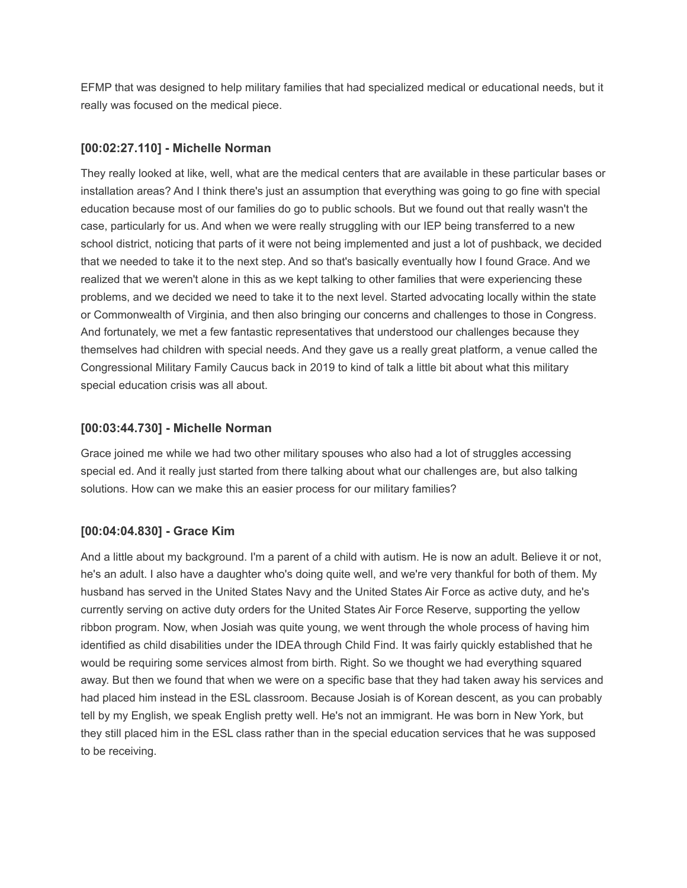EFMP that was designed to help military families that had specialized medical or educational needs, but it really was focused on the medical piece.

### **[00:02:27.110] - Michelle Norman**

They really looked at like, well, what are the medical centers that are available in these particular bases or installation areas? And I think there's just an assumption that everything was going to go fine with special education because most of our families do go to public schools. But we found out that really wasn't the case, particularly for us. And when we were really struggling with our IEP being transferred to a new school district, noticing that parts of it were not being implemented and just a lot of pushback, we decided that we needed to take it to the next step. And so that's basically eventually how I found Grace. And we realized that we weren't alone in this as we kept talking to other families that were experiencing these problems, and we decided we need to take it to the next level. Started advocating locally within the state or Commonwealth of Virginia, and then also bringing our concerns and challenges to those in Congress. And fortunately, we met a few fantastic representatives that understood our challenges because they themselves had children with special needs. And they gave us a really great platform, a venue called the Congressional Military Family Caucus back in 2019 to kind of talk a little bit about what this military special education crisis was all about.

### **[00:03:44.730] - Michelle Norman**

Grace joined me while we had two other military spouses who also had a lot of struggles accessing special ed. And it really just started from there talking about what our challenges are, but also talking solutions. How can we make this an easier process for our military families?

## **[00:04:04.830] - Grace Kim**

And a little about my background. I'm a parent of a child with autism. He is now an adult. Believe it or not, he's an adult. I also have a daughter who's doing quite well, and we're very thankful for both of them. My husband has served in the United States Navy and the United States Air Force as active duty, and he's currently serving on active duty orders for the United States Air Force Reserve, supporting the yellow ribbon program. Now, when Josiah was quite young, we went through the whole process of having him identified as child disabilities under the IDEA through Child Find. It was fairly quickly established that he would be requiring some services almost from birth. Right. So we thought we had everything squared away. But then we found that when we were on a specific base that they had taken away his services and had placed him instead in the ESL classroom. Because Josiah is of Korean descent, as you can probably tell by my English, we speak English pretty well. He's not an immigrant. He was born in New York, but they still placed him in the ESL class rather than in the special education services that he was supposed to be receiving.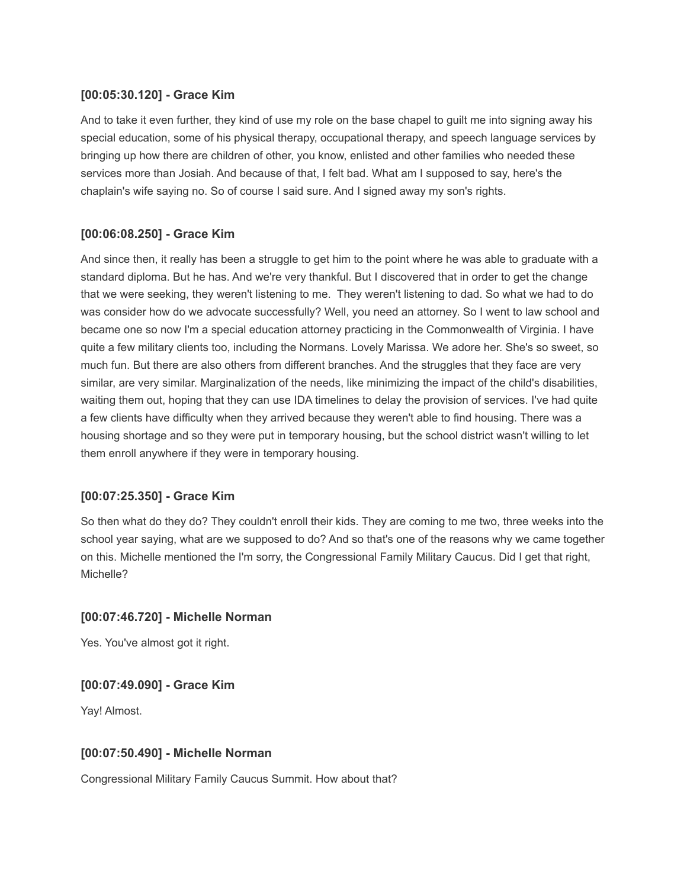## **[00:05:30.120] - Grace Kim**

And to take it even further, they kind of use my role on the base chapel to guilt me into signing away his special education, some of his physical therapy, occupational therapy, and speech language services by bringing up how there are children of other, you know, enlisted and other families who needed these services more than Josiah. And because of that, I felt bad. What am I supposed to say, here's the chaplain's wife saying no. So of course I said sure. And I signed away my son's rights.

# **[00:06:08.250] - Grace Kim**

And since then, it really has been a struggle to get him to the point where he was able to graduate with a standard diploma. But he has. And we're very thankful. But I discovered that in order to get the change that we were seeking, they weren't listening to me. They weren't listening to dad. So what we had to do was consider how do we advocate successfully? Well, you need an attorney. So I went to law school and became one so now I'm a special education attorney practicing in the Commonwealth of Virginia. I have quite a few military clients too, including the Normans. Lovely Marissa. We adore her. She's so sweet, so much fun. But there are also others from different branches. And the struggles that they face are very similar, are very similar. Marginalization of the needs, like minimizing the impact of the child's disabilities, waiting them out, hoping that they can use IDA timelines to delay the provision of services. I've had quite a few clients have difficulty when they arrived because they weren't able to find housing. There was a housing shortage and so they were put in temporary housing, but the school district wasn't willing to let them enroll anywhere if they were in temporary housing.

## **[00:07:25.350] - Grace Kim**

So then what do they do? They couldn't enroll their kids. They are coming to me two, three weeks into the school year saying, what are we supposed to do? And so that's one of the reasons why we came together on this. Michelle mentioned the I'm sorry, the Congressional Family Military Caucus. Did I get that right, Michelle?

## **[00:07:46.720] - Michelle Norman**

Yes. You've almost got it right.

## **[00:07:49.090] - Grace Kim**

Yay! Almost.

## **[00:07:50.490] - Michelle Norman**

Congressional Military Family Caucus Summit. How about that?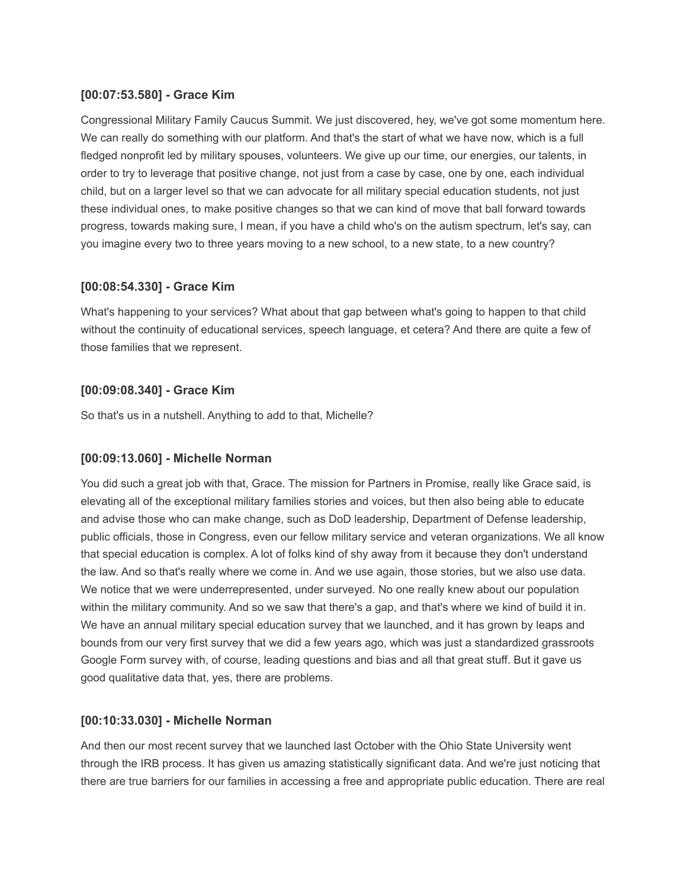## **[00:07:53.580] - Grace Kim**

Congressional Military Family Caucus Summit. We just discovered, hey, we've got some momentum here. We can really do something with our platform. And that's the start of what we have now, which is a full fledged nonprofit led by military spouses, volunteers. We give up our time, our energies, our talents, in order to try to leverage that positive change, not just from a case by case, one by one, each individual child, but on a larger level so that we can advocate for all military special education students, not just these individual ones, to make positive changes so that we can kind of move that ball forward towards progress, towards making sure, I mean, if you have a child who's on the autism spectrum, let's say, can you imagine every two to three years moving to a new school, to a new state, to a new country?

### **[00:08:54.330] - Grace Kim**

What's happening to your services? What about that gap between what's going to happen to that child without the continuity of educational services, speech language, et cetera? And there are quite a few of those families that we represent.

### **[00:09:08.340] - Grace Kim**

So that's us in a nutshell. Anything to add to that, Michelle?

### **[00:09:13.060] - Michelle Norman**

You did such a great job with that, Grace. The mission for Partners in Promise, really like Grace said, is elevating all of the exceptional military families stories and voices, but then also being able to educate and advise those who can make change, such as DoD leadership, Department of Defense leadership, public officials, those in Congress, even our fellow military service and veteran organizations. We all know that special education is complex. A lot of folks kind of shy away from it because they don't understand the law. And so that's really where we come in. And we use again, those stories, but we also use data. We notice that we were underrepresented, under surveyed. No one really knew about our population within the military community. And so we saw that there's a gap, and that's where we kind of build it in. We have an annual military special education survey that we launched, and it has grown by leaps and bounds from our very first survey that we did a few years ago, which was just a standardized grassroots Google Form survey with, of course, leading questions and bias and all that great stuff. But it gave us good qualitative data that, yes, there are problems.

### **[00:10:33.030] - Michelle Norman**

And then our most recent survey that we launched last October with the Ohio State University went through the IRB process. It has given us amazing statistically significant data. And we're just noticing that there are true barriers for our families in accessing a free and appropriate public education. There are real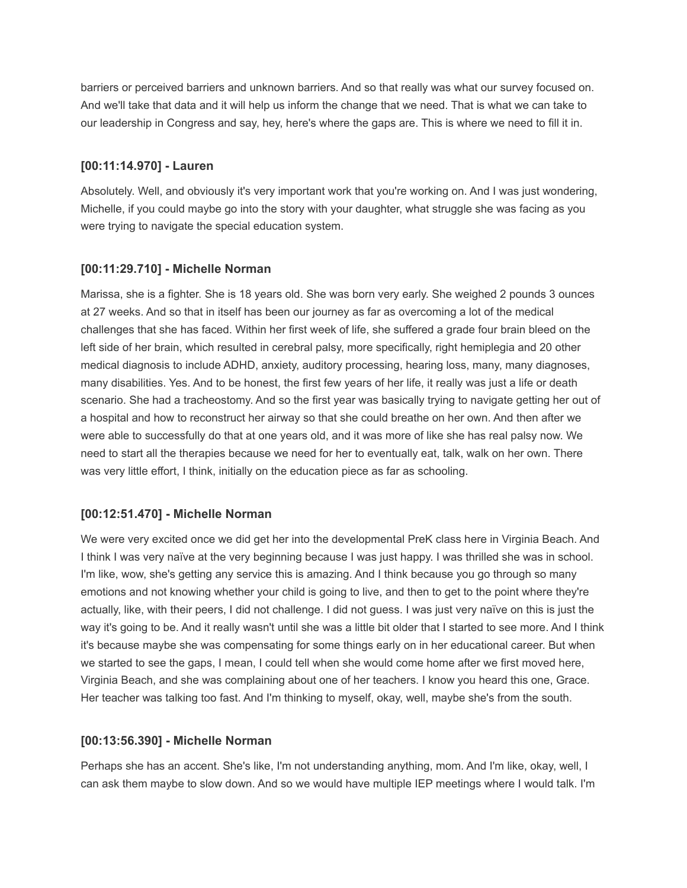barriers or perceived barriers and unknown barriers. And so that really was what our survey focused on. And we'll take that data and it will help us inform the change that we need. That is what we can take to our leadership in Congress and say, hey, here's where the gaps are. This is where we need to fill it in.

### **[00:11:14.970] - Lauren**

Absolutely. Well, and obviously it's very important work that you're working on. And I was just wondering, Michelle, if you could maybe go into the story with your daughter, what struggle she was facing as you were trying to navigate the special education system.

### **[00:11:29.710] - Michelle Norman**

Marissa, she is a fighter. She is 18 years old. She was born very early. She weighed 2 pounds 3 ounces at 27 weeks. And so that in itself has been our journey as far as overcoming a lot of the medical challenges that she has faced. Within her first week of life, she suffered a grade four brain bleed on the left side of her brain, which resulted in cerebral palsy, more specifically, right hemiplegia and 20 other medical diagnosis to include ADHD, anxiety, auditory processing, hearing loss, many, many diagnoses, many disabilities. Yes. And to be honest, the first few years of her life, it really was just a life or death scenario. She had a tracheostomy. And so the first year was basically trying to navigate getting her out of a hospital and how to reconstruct her airway so that she could breathe on her own. And then after we were able to successfully do that at one years old, and it was more of like she has real palsy now. We need to start all the therapies because we need for her to eventually eat, talk, walk on her own. There was very little effort, I think, initially on the education piece as far as schooling.

## **[00:12:51.470] - Michelle Norman**

We were very excited once we did get her into the developmental PreK class here in Virginia Beach. And I think I was very naïve at the very beginning because I was just happy. I was thrilled she was in school. I'm like, wow, she's getting any service this is amazing. And I think because you go through so many emotions and not knowing whether your child is going to live, and then to get to the point where they're actually, like, with their peers, I did not challenge. I did not guess. I was just very naïve on this is just the way it's going to be. And it really wasn't until she was a little bit older that I started to see more. And I think it's because maybe she was compensating for some things early on in her educational career. But when we started to see the gaps, I mean, I could tell when she would come home after we first moved here, Virginia Beach, and she was complaining about one of her teachers. I know you heard this one, Grace. Her teacher was talking too fast. And I'm thinking to myself, okay, well, maybe she's from the south.

## **[00:13:56.390] - Michelle Norman**

Perhaps she has an accent. She's like, I'm not understanding anything, mom. And I'm like, okay, well, I can ask them maybe to slow down. And so we would have multiple IEP meetings where I would talk. I'm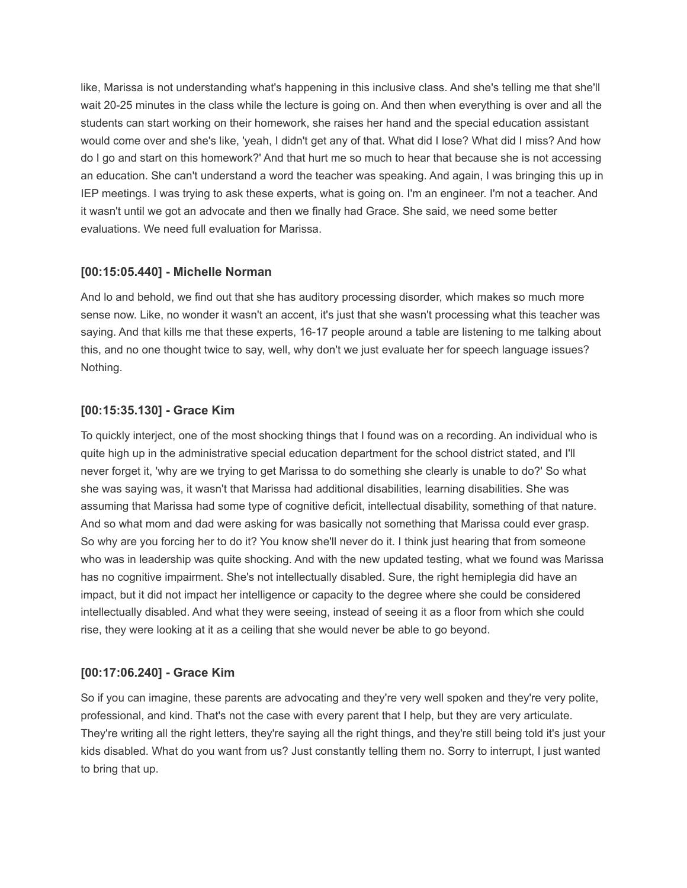like, Marissa is not understanding what's happening in this inclusive class. And she's telling me that she'll wait 20-25 minutes in the class while the lecture is going on. And then when everything is over and all the students can start working on their homework, she raises her hand and the special education assistant would come over and she's like, 'yeah, I didn't get any of that. What did I lose? What did I miss? And how do I go and start on this homework?' And that hurt me so much to hear that because she is not accessing an education. She can't understand a word the teacher was speaking. And again, I was bringing this up in IEP meetings. I was trying to ask these experts, what is going on. I'm an engineer. I'm not a teacher. And it wasn't until we got an advocate and then we finally had Grace. She said, we need some better evaluations. We need full evaluation for Marissa.

## **[00:15:05.440] - Michelle Norman**

And lo and behold, we find out that she has auditory processing disorder, which makes so much more sense now. Like, no wonder it wasn't an accent, it's just that she wasn't processing what this teacher was saying. And that kills me that these experts, 16-17 people around a table are listening to me talking about this, and no one thought twice to say, well, why don't we just evaluate her for speech language issues? Nothing.

### **[00:15:35.130] - Grace Kim**

To quickly interject, one of the most shocking things that I found was on a recording. An individual who is quite high up in the administrative special education department for the school district stated, and I'll never forget it, 'why are we trying to get Marissa to do something she clearly is unable to do?' So what she was saying was, it wasn't that Marissa had additional disabilities, learning disabilities. She was assuming that Marissa had some type of cognitive deficit, intellectual disability, something of that nature. And so what mom and dad were asking for was basically not something that Marissa could ever grasp. So why are you forcing her to do it? You know she'll never do it. I think just hearing that from someone who was in leadership was quite shocking. And with the new updated testing, what we found was Marissa has no cognitive impairment. She's not intellectually disabled. Sure, the right hemiplegia did have an impact, but it did not impact her intelligence or capacity to the degree where she could be considered intellectually disabled. And what they were seeing, instead of seeing it as a floor from which she could rise, they were looking at it as a ceiling that she would never be able to go beyond.

### **[00:17:06.240] - Grace Kim**

So if you can imagine, these parents are advocating and they're very well spoken and they're very polite, professional, and kind. That's not the case with every parent that I help, but they are very articulate. They're writing all the right letters, they're saying all the right things, and they're still being told it's just your kids disabled. What do you want from us? Just constantly telling them no. Sorry to interrupt, I just wanted to bring that up.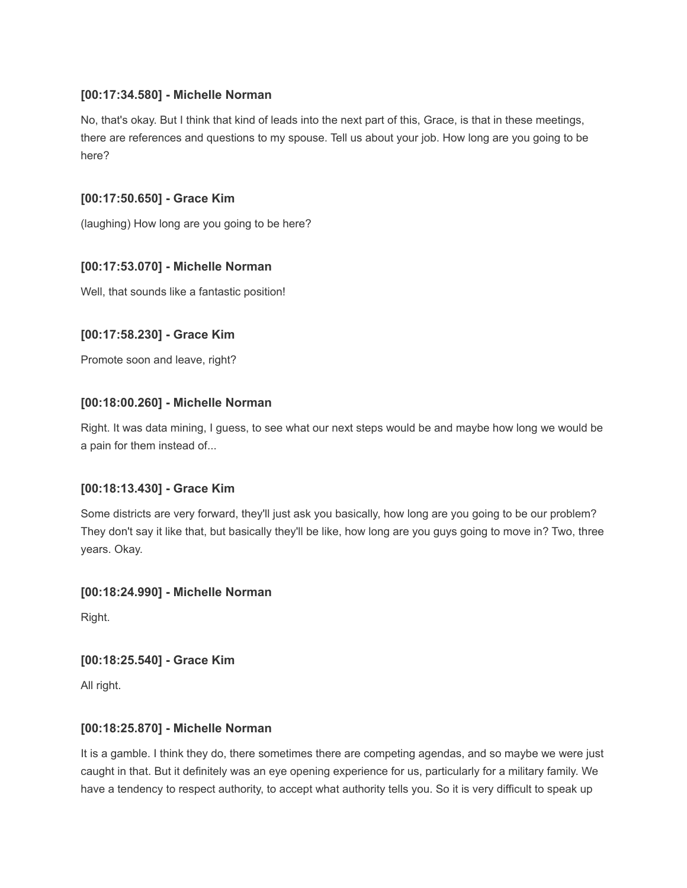# **[00:17:34.580] - Michelle Norman**

No, that's okay. But I think that kind of leads into the next part of this, Grace, is that in these meetings, there are references and questions to my spouse. Tell us about your job. How long are you going to be here?

# **[00:17:50.650] - Grace Kim**

(laughing) How long are you going to be here?

# **[00:17:53.070] - Michelle Norman**

Well, that sounds like a fantastic position!

# **[00:17:58.230] - Grace Kim**

Promote soon and leave, right?

# **[00:18:00.260] - Michelle Norman**

Right. It was data mining, I guess, to see what our next steps would be and maybe how long we would be a pain for them instead of...

## **[00:18:13.430] - Grace Kim**

Some districts are very forward, they'll just ask you basically, how long are you going to be our problem? They don't say it like that, but basically they'll be like, how long are you guys going to move in? Two, three years. Okay.

## **[00:18:24.990] - Michelle Norman**

Right.

## **[00:18:25.540] - Grace Kim**

All right.

## **[00:18:25.870] - Michelle Norman**

It is a gamble. I think they do, there sometimes there are competing agendas, and so maybe we were just caught in that. But it definitely was an eye opening experience for us, particularly for a military family. We have a tendency to respect authority, to accept what authority tells you. So it is very difficult to speak up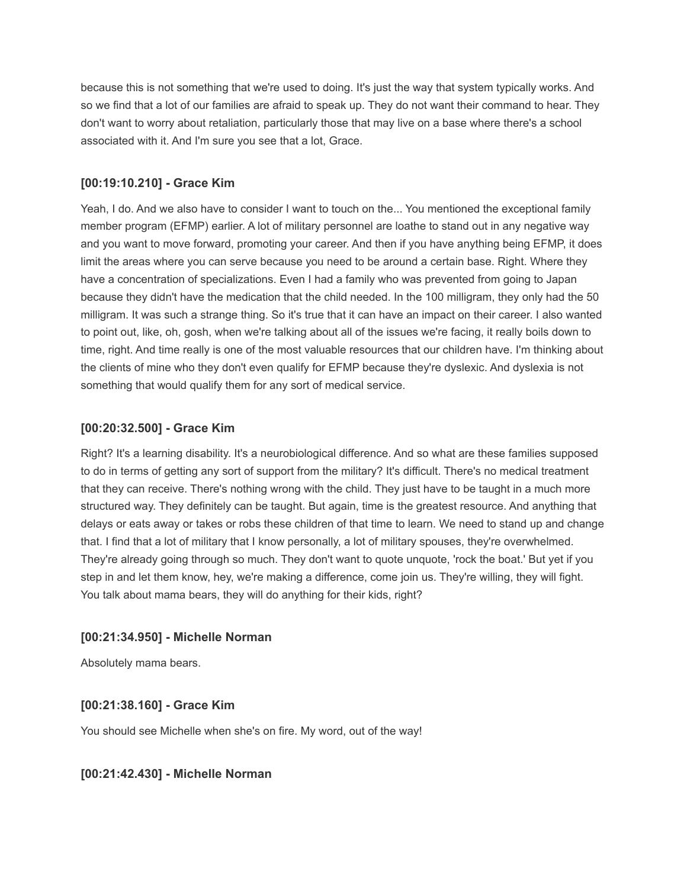because this is not something that we're used to doing. It's just the way that system typically works. And so we find that a lot of our families are afraid to speak up. They do not want their command to hear. They don't want to worry about retaliation, particularly those that may live on a base where there's a school associated with it. And I'm sure you see that a lot, Grace.

### **[00:19:10.210] - Grace Kim**

Yeah, I do. And we also have to consider I want to touch on the... You mentioned the exceptional family member program (EFMP) earlier. A lot of military personnel are loathe to stand out in any negative way and you want to move forward, promoting your career. And then if you have anything being EFMP, it does limit the areas where you can serve because you need to be around a certain base. Right. Where they have a concentration of specializations. Even I had a family who was prevented from going to Japan because they didn't have the medication that the child needed. In the 100 milligram, they only had the 50 milligram. It was such a strange thing. So it's true that it can have an impact on their career. I also wanted to point out, like, oh, gosh, when we're talking about all of the issues we're facing, it really boils down to time, right. And time really is one of the most valuable resources that our children have. I'm thinking about the clients of mine who they don't even qualify for EFMP because they're dyslexic. And dyslexia is not something that would qualify them for any sort of medical service.

### **[00:20:32.500] - Grace Kim**

Right? It's a learning disability. It's a neurobiological difference. And so what are these families supposed to do in terms of getting any sort of support from the military? It's difficult. There's no medical treatment that they can receive. There's nothing wrong with the child. They just have to be taught in a much more structured way. They definitely can be taught. But again, time is the greatest resource. And anything that delays or eats away or takes or robs these children of that time to learn. We need to stand up and change that. I find that a lot of military that I know personally, a lot of military spouses, they're overwhelmed. They're already going through so much. They don't want to quote unquote, 'rock the boat.' But yet if you step in and let them know, hey, we're making a difference, come join us. They're willing, they will fight. You talk about mama bears, they will do anything for their kids, right?

## **[00:21:34.950] - Michelle Norman**

Absolutely mama bears.

## **[00:21:38.160] - Grace Kim**

You should see Michelle when she's on fire. My word, out of the way!

### **[00:21:42.430] - Michelle Norman**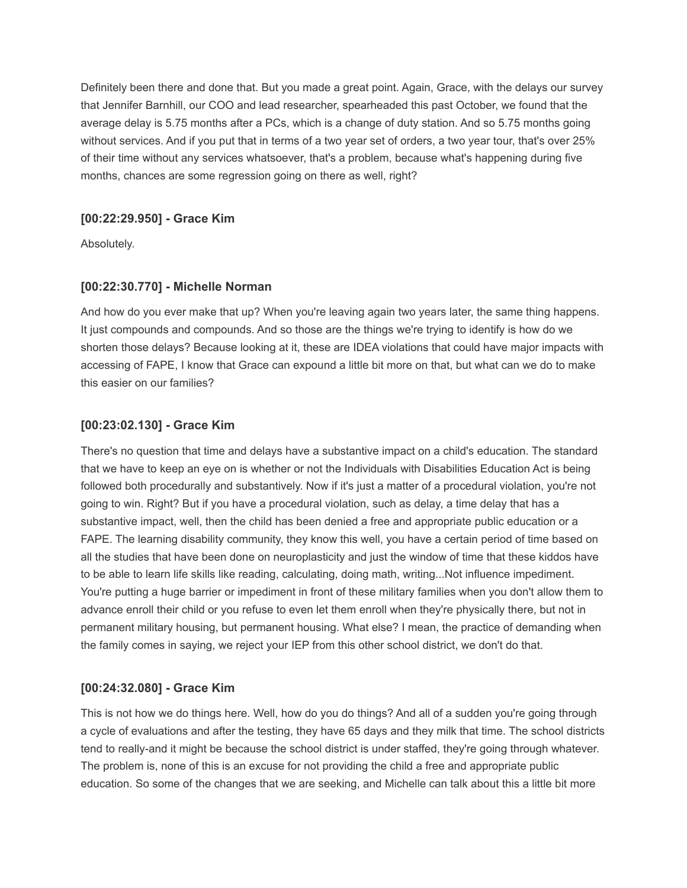Definitely been there and done that. But you made a great point. Again, Grace, with the delays our survey that Jennifer Barnhill, our COO and lead researcher, spearheaded this past October, we found that the average delay is 5.75 months after a PCs, which is a change of duty station. And so 5.75 months going without services. And if you put that in terms of a two year set of orders, a two year tour, that's over 25% of their time without any services whatsoever, that's a problem, because what's happening during five months, chances are some regression going on there as well, right?

### **[00:22:29.950] - Grace Kim**

Absolutely.

### **[00:22:30.770] - Michelle Norman**

And how do you ever make that up? When you're leaving again two years later, the same thing happens. It just compounds and compounds. And so those are the things we're trying to identify is how do we shorten those delays? Because looking at it, these are IDEA violations that could have major impacts with accessing of FAPE, I know that Grace can expound a little bit more on that, but what can we do to make this easier on our families?

### **[00:23:02.130] - Grace Kim**

There's no question that time and delays have a substantive impact on a child's education. The standard that we have to keep an eye on is whether or not the Individuals with Disabilities Education Act is being followed both procedurally and substantively. Now if it's just a matter of a procedural violation, you're not going to win. Right? But if you have a procedural violation, such as delay, a time delay that has a substantive impact, well, then the child has been denied a free and appropriate public education or a FAPE. The learning disability community, they know this well, you have a certain period of time based on all the studies that have been done on neuroplasticity and just the window of time that these kiddos have to be able to learn life skills like reading, calculating, doing math, writing...Not influence impediment. You're putting a huge barrier or impediment in front of these military families when you don't allow them to advance enroll their child or you refuse to even let them enroll when they're physically there, but not in permanent military housing, but permanent housing. What else? I mean, the practice of demanding when the family comes in saying, we reject your IEP from this other school district, we don't do that.

## **[00:24:32.080] - Grace Kim**

This is not how we do things here. Well, how do you do things? And all of a sudden you're going through a cycle of evaluations and after the testing, they have 65 days and they milk that time. The school districts tend to really-and it might be because the school district is under staffed, they're going through whatever. The problem is, none of this is an excuse for not providing the child a free and appropriate public education. So some of the changes that we are seeking, and Michelle can talk about this a little bit more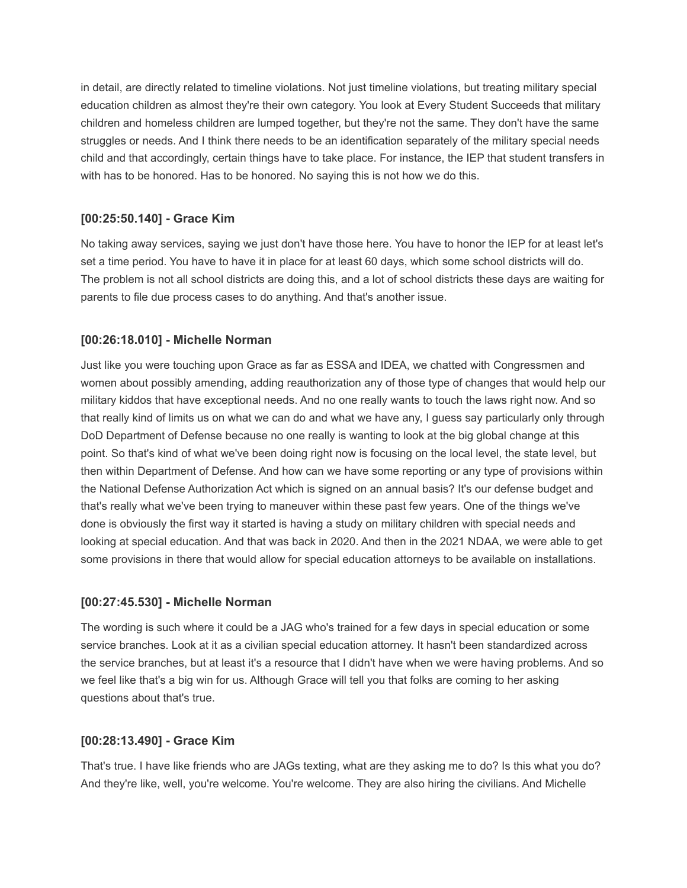in detail, are directly related to timeline violations. Not just timeline violations, but treating military special education children as almost they're their own category. You look at Every Student Succeeds that military children and homeless children are lumped together, but they're not the same. They don't have the same struggles or needs. And I think there needs to be an identification separately of the military special needs child and that accordingly, certain things have to take place. For instance, the IEP that student transfers in with has to be honored. Has to be honored. No saying this is not how we do this.

# **[00:25:50.140] - Grace Kim**

No taking away services, saying we just don't have those here. You have to honor the IEP for at least let's set a time period. You have to have it in place for at least 60 days, which some school districts will do. The problem is not all school districts are doing this, and a lot of school districts these days are waiting for parents to file due process cases to do anything. And that's another issue.

# **[00:26:18.010] - Michelle Norman**

Just like you were touching upon Grace as far as ESSA and IDEA, we chatted with Congressmen and women about possibly amending, adding reauthorization any of those type of changes that would help our military kiddos that have exceptional needs. And no one really wants to touch the laws right now. And so that really kind of limits us on what we can do and what we have any, I guess say particularly only through DoD Department of Defense because no one really is wanting to look at the big global change at this point. So that's kind of what we've been doing right now is focusing on the local level, the state level, but then within Department of Defense. And how can we have some reporting or any type of provisions within the National Defense Authorization Act which is signed on an annual basis? It's our defense budget and that's really what we've been trying to maneuver within these past few years. One of the things we've done is obviously the first way it started is having a study on military children with special needs and looking at special education. And that was back in 2020. And then in the 2021 NDAA, we were able to get some provisions in there that would allow for special education attorneys to be available on installations.

## **[00:27:45.530] - Michelle Norman**

The wording is such where it could be a JAG who's trained for a few days in special education or some service branches. Look at it as a civilian special education attorney. It hasn't been standardized across the service branches, but at least it's a resource that I didn't have when we were having problems. And so we feel like that's a big win for us. Although Grace will tell you that folks are coming to her asking questions about that's true.

## **[00:28:13.490] - Grace Kim**

That's true. I have like friends who are JAGs texting, what are they asking me to do? Is this what you do? And they're like, well, you're welcome. You're welcome. They are also hiring the civilians. And Michelle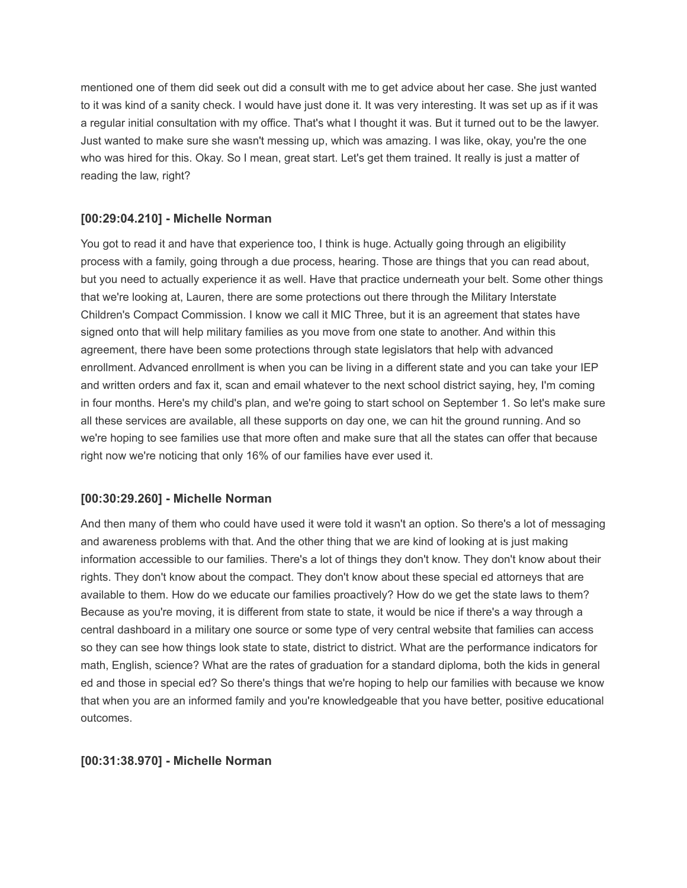mentioned one of them did seek out did a consult with me to get advice about her case. She just wanted to it was kind of a sanity check. I would have just done it. It was very interesting. It was set up as if it was a regular initial consultation with my office. That's what I thought it was. But it turned out to be the lawyer. Just wanted to make sure she wasn't messing up, which was amazing. I was like, okay, you're the one who was hired for this. Okay. So I mean, great start. Let's get them trained. It really is just a matter of reading the law, right?

## **[00:29:04.210] - Michelle Norman**

You got to read it and have that experience too, I think is huge. Actually going through an eligibility process with a family, going through a due process, hearing. Those are things that you can read about, but you need to actually experience it as well. Have that practice underneath your belt. Some other things that we're looking at, Lauren, there are some protections out there through the Military Interstate Children's Compact Commission. I know we call it MIC Three, but it is an agreement that states have signed onto that will help military families as you move from one state to another. And within this agreement, there have been some protections through state legislators that help with advanced enrollment. Advanced enrollment is when you can be living in a different state and you can take your IEP and written orders and fax it, scan and email whatever to the next school district saying, hey, I'm coming in four months. Here's my child's plan, and we're going to start school on September 1. So let's make sure all these services are available, all these supports on day one, we can hit the ground running. And so we're hoping to see families use that more often and make sure that all the states can offer that because right now we're noticing that only 16% of our families have ever used it.

## **[00:30:29.260] - Michelle Norman**

And then many of them who could have used it were told it wasn't an option. So there's a lot of messaging and awareness problems with that. And the other thing that we are kind of looking at is just making information accessible to our families. There's a lot of things they don't know. They don't know about their rights. They don't know about the compact. They don't know about these special ed attorneys that are available to them. How do we educate our families proactively? How do we get the state laws to them? Because as you're moving, it is different from state to state, it would be nice if there's a way through a central dashboard in a military one source or some type of very central website that families can access so they can see how things look state to state, district to district. What are the performance indicators for math, English, science? What are the rates of graduation for a standard diploma, both the kids in general ed and those in special ed? So there's things that we're hoping to help our families with because we know that when you are an informed family and you're knowledgeable that you have better, positive educational outcomes.

## **[00:31:38.970] - Michelle Norman**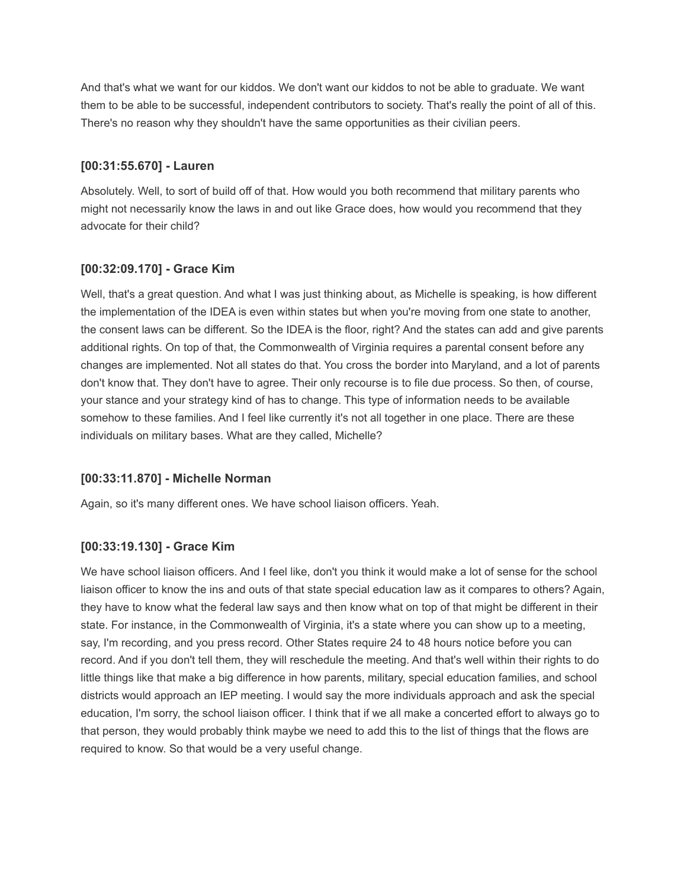And that's what we want for our kiddos. We don't want our kiddos to not be able to graduate. We want them to be able to be successful, independent contributors to society. That's really the point of all of this. There's no reason why they shouldn't have the same opportunities as their civilian peers.

### **[00:31:55.670] - Lauren**

Absolutely. Well, to sort of build off of that. How would you both recommend that military parents who might not necessarily know the laws in and out like Grace does, how would you recommend that they advocate for their child?

## **[00:32:09.170] - Grace Kim**

Well, that's a great question. And what I was just thinking about, as Michelle is speaking, is how different the implementation of the IDEA is even within states but when you're moving from one state to another, the consent laws can be different. So the IDEA is the floor, right? And the states can add and give parents additional rights. On top of that, the Commonwealth of Virginia requires a parental consent before any changes are implemented. Not all states do that. You cross the border into Maryland, and a lot of parents don't know that. They don't have to agree. Their only recourse is to file due process. So then, of course, your stance and your strategy kind of has to change. This type of information needs to be available somehow to these families. And I feel like currently it's not all together in one place. There are these individuals on military bases. What are they called, Michelle?

## **[00:33:11.870] - Michelle Norman**

Again, so it's many different ones. We have school liaison officers. Yeah.

## **[00:33:19.130] - Grace Kim**

We have school liaison officers. And I feel like, don't you think it would make a lot of sense for the school liaison officer to know the ins and outs of that state special education law as it compares to others? Again, they have to know what the federal law says and then know what on top of that might be different in their state. For instance, in the Commonwealth of Virginia, it's a state where you can show up to a meeting, say, I'm recording, and you press record. Other States require 24 to 48 hours notice before you can record. And if you don't tell them, they will reschedule the meeting. And that's well within their rights to do little things like that make a big difference in how parents, military, special education families, and school districts would approach an IEP meeting. I would say the more individuals approach and ask the special education, I'm sorry, the school liaison officer. I think that if we all make a concerted effort to always go to that person, they would probably think maybe we need to add this to the list of things that the flows are required to know. So that would be a very useful change.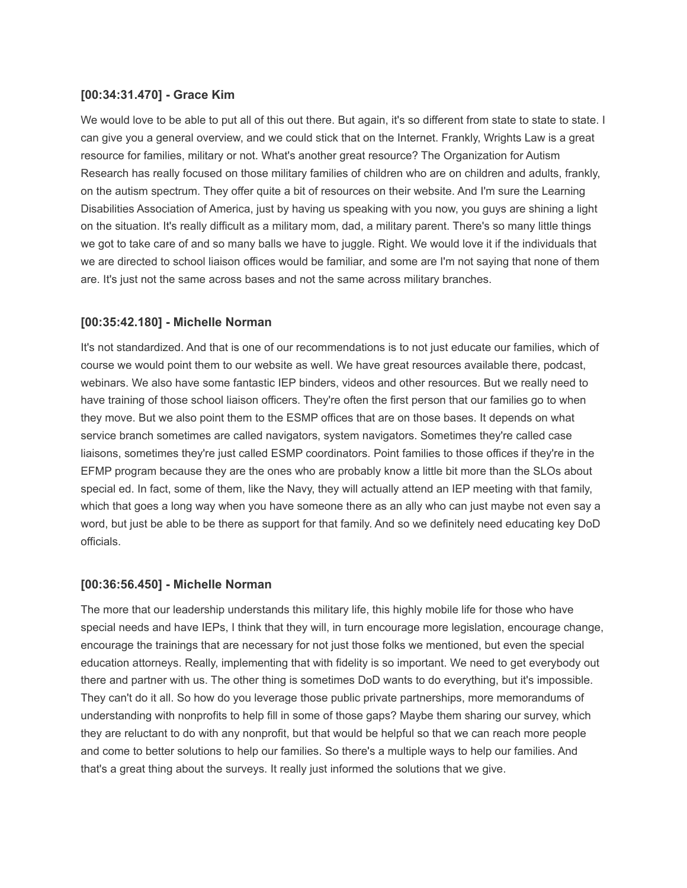### **[00:34:31.470] - Grace Kim**

We would love to be able to put all of this out there. But again, it's so different from state to state to state. I can give you a general overview, and we could stick that on the Internet. Frankly, Wrights Law is a great resource for families, military or not. What's another great resource? The Organization for Autism Research has really focused on those military families of children who are on children and adults, frankly, on the autism spectrum. They offer quite a bit of resources on their website. And I'm sure the Learning Disabilities Association of America, just by having us speaking with you now, you guys are shining a light on the situation. It's really difficult as a military mom, dad, a military parent. There's so many little things we got to take care of and so many balls we have to juggle. Right. We would love it if the individuals that we are directed to school liaison offices would be familiar, and some are I'm not saying that none of them are. It's just not the same across bases and not the same across military branches.

### **[00:35:42.180] - Michelle Norman**

It's not standardized. And that is one of our recommendations is to not just educate our families, which of course we would point them to our website as well. We have great resources available there, podcast, webinars. We also have some fantastic IEP binders, videos and other resources. But we really need to have training of those school liaison officers. They're often the first person that our families go to when they move. But we also point them to the ESMP offices that are on those bases. It depends on what service branch sometimes are called navigators, system navigators. Sometimes they're called case liaisons, sometimes they're just called ESMP coordinators. Point families to those offices if they're in the EFMP program because they are the ones who are probably know a little bit more than the SLOs about special ed. In fact, some of them, like the Navy, they will actually attend an IEP meeting with that family, which that goes a long way when you have someone there as an ally who can just maybe not even say a word, but just be able to be there as support for that family. And so we definitely need educating key DoD officials.

### **[00:36:56.450] - Michelle Norman**

The more that our leadership understands this military life, this highly mobile life for those who have special needs and have IEPs, I think that they will, in turn encourage more legislation, encourage change, encourage the trainings that are necessary for not just those folks we mentioned, but even the special education attorneys. Really, implementing that with fidelity is so important. We need to get everybody out there and partner with us. The other thing is sometimes DoD wants to do everything, but it's impossible. They can't do it all. So how do you leverage those public private partnerships, more memorandums of understanding with nonprofits to help fill in some of those gaps? Maybe them sharing our survey, which they are reluctant to do with any nonprofit, but that would be helpful so that we can reach more people and come to better solutions to help our families. So there's a multiple ways to help our families. And that's a great thing about the surveys. It really just informed the solutions that we give.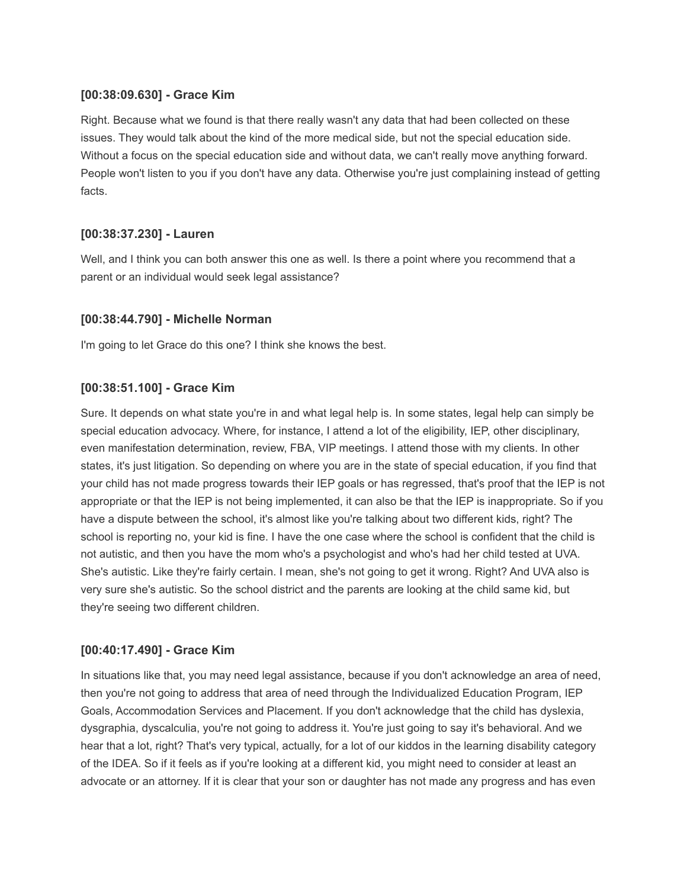## **[00:38:09.630] - Grace Kim**

Right. Because what we found is that there really wasn't any data that had been collected on these issues. They would talk about the kind of the more medical side, but not the special education side. Without a focus on the special education side and without data, we can't really move anything forward. People won't listen to you if you don't have any data. Otherwise you're just complaining instead of getting facts.

## **[00:38:37.230] - Lauren**

Well, and I think you can both answer this one as well. Is there a point where you recommend that a parent or an individual would seek legal assistance?

### **[00:38:44.790] - Michelle Norman**

I'm going to let Grace do this one? I think she knows the best.

### **[00:38:51.100] - Grace Kim**

Sure. It depends on what state you're in and what legal help is. In some states, legal help can simply be special education advocacy. Where, for instance, I attend a lot of the eligibility, IEP, other disciplinary, even manifestation determination, review, FBA, VIP meetings. I attend those with my clients. In other states, it's just litigation. So depending on where you are in the state of special education, if you find that your child has not made progress towards their IEP goals or has regressed, that's proof that the IEP is not appropriate or that the IEP is not being implemented, it can also be that the IEP is inappropriate. So if you have a dispute between the school, it's almost like you're talking about two different kids, right? The school is reporting no, your kid is fine. I have the one case where the school is confident that the child is not autistic, and then you have the mom who's a psychologist and who's had her child tested at UVA. She's autistic. Like they're fairly certain. I mean, she's not going to get it wrong. Right? And UVA also is very sure she's autistic. So the school district and the parents are looking at the child same kid, but they're seeing two different children.

## **[00:40:17.490] - Grace Kim**

In situations like that, you may need legal assistance, because if you don't acknowledge an area of need, then you're not going to address that area of need through the Individualized Education Program, IEP Goals, Accommodation Services and Placement. If you don't acknowledge that the child has dyslexia, dysgraphia, dyscalculia, you're not going to address it. You're just going to say it's behavioral. And we hear that a lot, right? That's very typical, actually, for a lot of our kiddos in the learning disability category of the IDEA. So if it feels as if you're looking at a different kid, you might need to consider at least an advocate or an attorney. If it is clear that your son or daughter has not made any progress and has even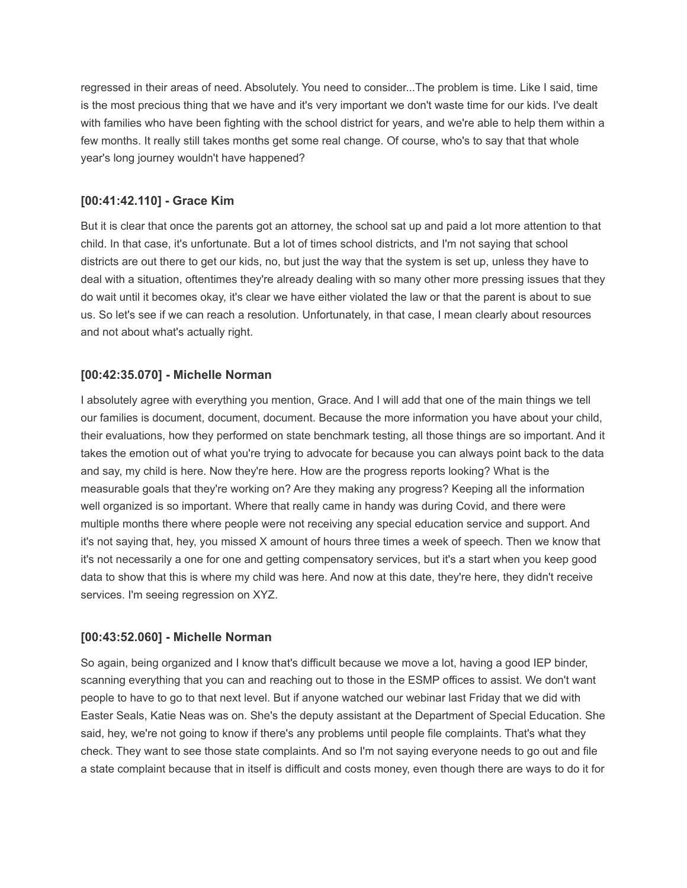regressed in their areas of need. Absolutely. You need to consider...The problem is time. Like I said, time is the most precious thing that we have and it's very important we don't waste time for our kids. I've dealt with families who have been fighting with the school district for years, and we're able to help them within a few months. It really still takes months get some real change. Of course, who's to say that that whole year's long journey wouldn't have happened?

# **[00:41:42.110] - Grace Kim**

But it is clear that once the parents got an attorney, the school sat up and paid a lot more attention to that child. In that case, it's unfortunate. But a lot of times school districts, and I'm not saying that school districts are out there to get our kids, no, but just the way that the system is set up, unless they have to deal with a situation, oftentimes they're already dealing with so many other more pressing issues that they do wait until it becomes okay, it's clear we have either violated the law or that the parent is about to sue us. So let's see if we can reach a resolution. Unfortunately, in that case, I mean clearly about resources and not about what's actually right.

# **[00:42:35.070] - Michelle Norman**

I absolutely agree with everything you mention, Grace. And I will add that one of the main things we tell our families is document, document, document. Because the more information you have about your child, their evaluations, how they performed on state benchmark testing, all those things are so important. And it takes the emotion out of what you're trying to advocate for because you can always point back to the data and say, my child is here. Now they're here. How are the progress reports looking? What is the measurable goals that they're working on? Are they making any progress? Keeping all the information well organized is so important. Where that really came in handy was during Covid, and there were multiple months there where people were not receiving any special education service and support. And it's not saying that, hey, you missed X amount of hours three times a week of speech. Then we know that it's not necessarily a one for one and getting compensatory services, but it's a start when you keep good data to show that this is where my child was here. And now at this date, they're here, they didn't receive services. I'm seeing regression on XYZ.

## **[00:43:52.060] - Michelle Norman**

So again, being organized and I know that's difficult because we move a lot, having a good IEP binder, scanning everything that you can and reaching out to those in the ESMP offices to assist. We don't want people to have to go to that next level. But if anyone watched our webinar last Friday that we did with Easter Seals, Katie Neas was on. She's the deputy assistant at the Department of Special Education. She said, hey, we're not going to know if there's any problems until people file complaints. That's what they check. They want to see those state complaints. And so I'm not saying everyone needs to go out and file a state complaint because that in itself is difficult and costs money, even though there are ways to do it for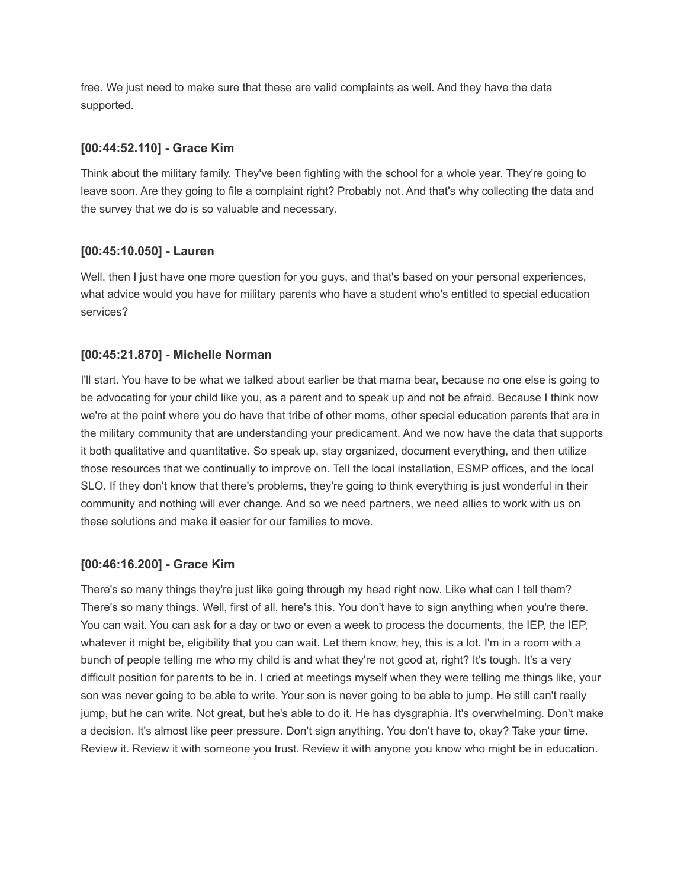free. We just need to make sure that these are valid complaints as well. And they have the data supported.

## **[00:44:52.110] - Grace Kim**

Think about the military family. They've been fighting with the school for a whole year. They're going to leave soon. Are they going to file a complaint right? Probably not. And that's why collecting the data and the survey that we do is so valuable and necessary.

# **[00:45:10.050] - Lauren**

Well, then I just have one more question for you guys, and that's based on your personal experiences, what advice would you have for military parents who have a student who's entitled to special education services?

# **[00:45:21.870] - Michelle Norman**

I'll start. You have to be what we talked about earlier be that mama bear, because no one else is going to be advocating for your child like you, as a parent and to speak up and not be afraid. Because I think now we're at the point where you do have that tribe of other moms, other special education parents that are in the military community that are understanding your predicament. And we now have the data that supports it both qualitative and quantitative. So speak up, stay organized, document everything, and then utilize those resources that we continually to improve on. Tell the local installation, ESMP offices, and the local SLO. If they don't know that there's problems, they're going to think everything is just wonderful in their community and nothing will ever change. And so we need partners, we need allies to work with us on these solutions and make it easier for our families to move.

## **[00:46:16.200] - Grace Kim**

There's so many things they're just like going through my head right now. Like what can I tell them? There's so many things. Well, first of all, here's this. You don't have to sign anything when you're there. You can wait. You can ask for a day or two or even a week to process the documents, the IEP, the IEP, whatever it might be, eligibility that you can wait. Let them know, hey, this is a lot. I'm in a room with a bunch of people telling me who my child is and what they're not good at, right? It's tough. It's a very difficult position for parents to be in. I cried at meetings myself when they were telling me things like, your son was never going to be able to write. Your son is never going to be able to jump. He still can't really jump, but he can write. Not great, but he's able to do it. He has dysgraphia. It's overwhelming. Don't make a decision. It's almost like peer pressure. Don't sign anything. You don't have to, okay? Take your time. Review it. Review it with someone you trust. Review it with anyone you know who might be in education.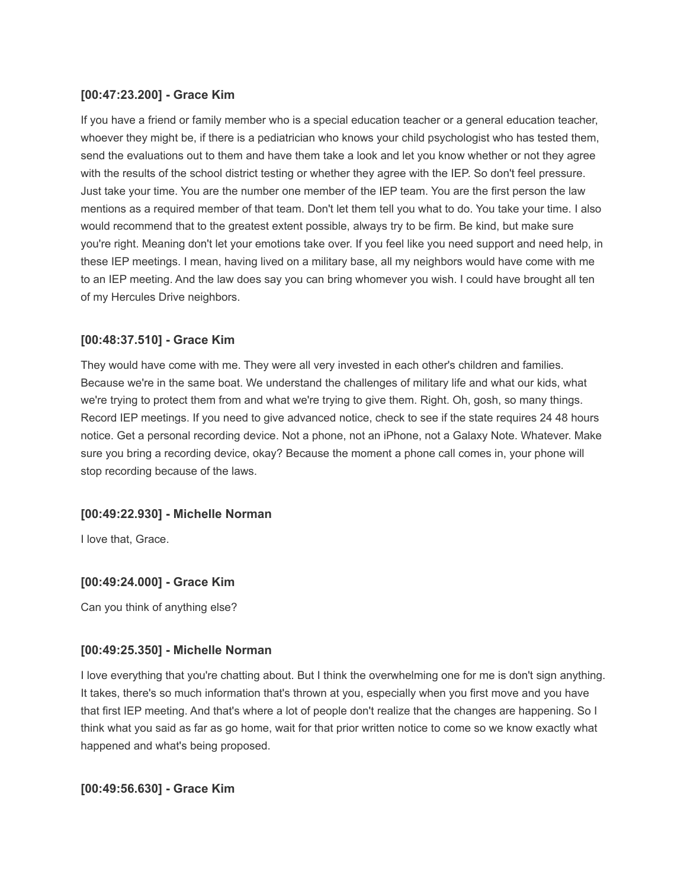## **[00:47:23.200] - Grace Kim**

If you have a friend or family member who is a special education teacher or a general education teacher, whoever they might be, if there is a pediatrician who knows your child psychologist who has tested them, send the evaluations out to them and have them take a look and let you know whether or not they agree with the results of the school district testing or whether they agree with the IEP. So don't feel pressure. Just take your time. You are the number one member of the IEP team. You are the first person the law mentions as a required member of that team. Don't let them tell you what to do. You take your time. I also would recommend that to the greatest extent possible, always try to be firm. Be kind, but make sure you're right. Meaning don't let your emotions take over. If you feel like you need support and need help, in these IEP meetings. I mean, having lived on a military base, all my neighbors would have come with me to an IEP meeting. And the law does say you can bring whomever you wish. I could have brought all ten of my Hercules Drive neighbors.

## **[00:48:37.510] - Grace Kim**

They would have come with me. They were all very invested in each other's children and families. Because we're in the same boat. We understand the challenges of military life and what our kids, what we're trying to protect them from and what we're trying to give them. Right. Oh, gosh, so many things. Record IEP meetings. If you need to give advanced notice, check to see if the state requires 24 48 hours notice. Get a personal recording device. Not a phone, not an iPhone, not a Galaxy Note. Whatever. Make sure you bring a recording device, okay? Because the moment a phone call comes in, your phone will stop recording because of the laws.

### **[00:49:22.930] - Michelle Norman**

I love that, Grace.

### **[00:49:24.000] - Grace Kim**

Can you think of anything else?

### **[00:49:25.350] - Michelle Norman**

I love everything that you're chatting about. But I think the overwhelming one for me is don't sign anything. It takes, there's so much information that's thrown at you, especially when you first move and you have that first IEP meeting. And that's where a lot of people don't realize that the changes are happening. So I think what you said as far as go home, wait for that prior written notice to come so we know exactly what happened and what's being proposed.

**[00:49:56.630] - Grace Kim**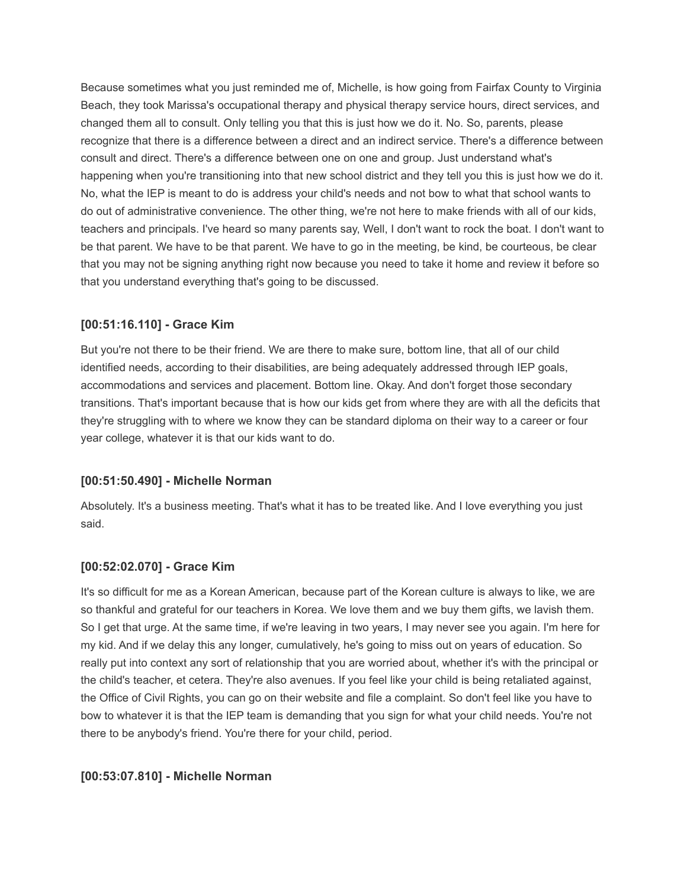Because sometimes what you just reminded me of, Michelle, is how going from Fairfax County to Virginia Beach, they took Marissa's occupational therapy and physical therapy service hours, direct services, and changed them all to consult. Only telling you that this is just how we do it. No. So, parents, please recognize that there is a difference between a direct and an indirect service. There's a difference between consult and direct. There's a difference between one on one and group. Just understand what's happening when you're transitioning into that new school district and they tell you this is just how we do it. No, what the IEP is meant to do is address your child's needs and not bow to what that school wants to do out of administrative convenience. The other thing, we're not here to make friends with all of our kids, teachers and principals. I've heard so many parents say, Well, I don't want to rock the boat. I don't want to be that parent. We have to be that parent. We have to go in the meeting, be kind, be courteous, be clear that you may not be signing anything right now because you need to take it home and review it before so that you understand everything that's going to be discussed.

### **[00:51:16.110] - Grace Kim**

But you're not there to be their friend. We are there to make sure, bottom line, that all of our child identified needs, according to their disabilities, are being adequately addressed through IEP goals, accommodations and services and placement. Bottom line. Okay. And don't forget those secondary transitions. That's important because that is how our kids get from where they are with all the deficits that they're struggling with to where we know they can be standard diploma on their way to a career or four year college, whatever it is that our kids want to do.

### **[00:51:50.490] - Michelle Norman**

Absolutely. It's a business meeting. That's what it has to be treated like. And I love everything you just said.

## **[00:52:02.070] - Grace Kim**

It's so difficult for me as a Korean American, because part of the Korean culture is always to like, we are so thankful and grateful for our teachers in Korea. We love them and we buy them gifts, we lavish them. So I get that urge. At the same time, if we're leaving in two years, I may never see you again. I'm here for my kid. And if we delay this any longer, cumulatively, he's going to miss out on years of education. So really put into context any sort of relationship that you are worried about, whether it's with the principal or the child's teacher, et cetera. They're also avenues. If you feel like your child is being retaliated against, the Office of Civil Rights, you can go on their website and file a complaint. So don't feel like you have to bow to whatever it is that the IEP team is demanding that you sign for what your child needs. You're not there to be anybody's friend. You're there for your child, period.

## **[00:53:07.810] - Michelle Norman**